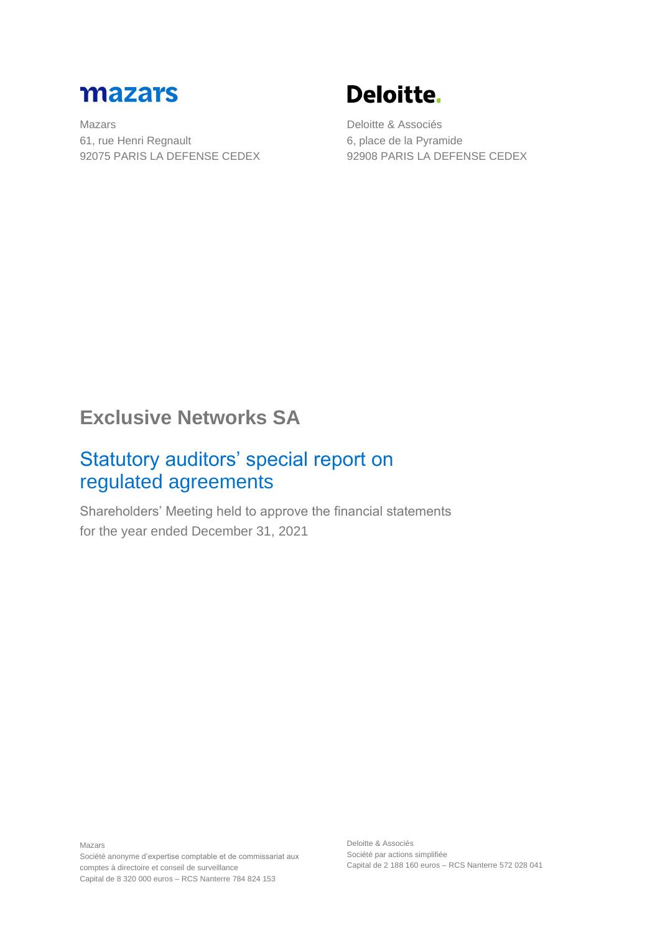

Mazars 61, rue Henri Regnault 92075 PARIS LA DEFENSE CEDEX

# Deloitte.

Deloitte & Associés 6, place de la Pyramide 92908 PARIS LA DEFENSE CEDEX

# **Exclusive Networks SA**

### Statutory auditors' special report on regulated agreements

Shareholders' Meeting held to approve the financial statements for the year ended December 31, 2021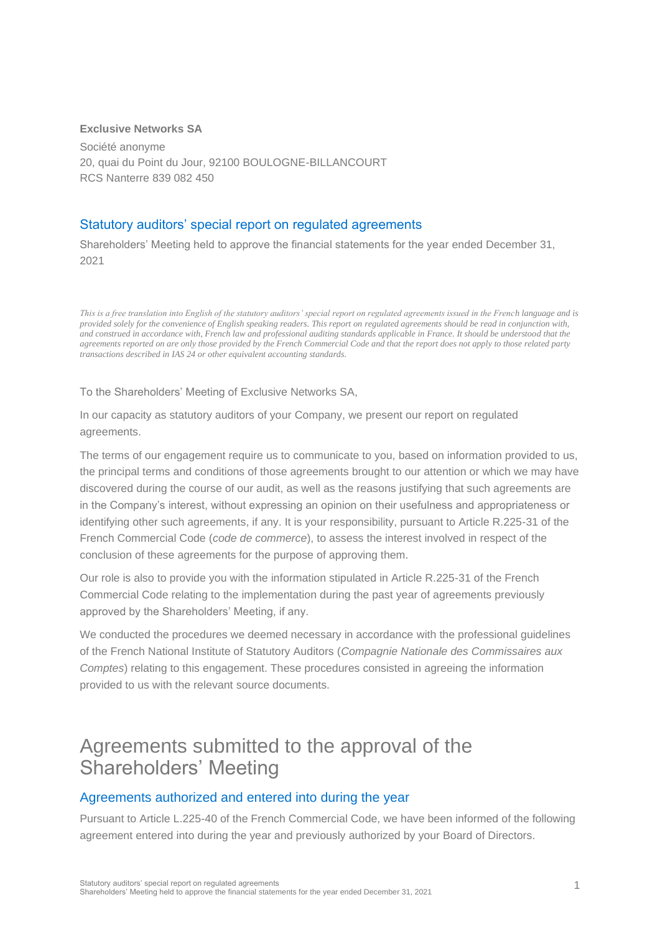#### **Exclusive Networks SA**

Société anonyme 20, quai du Point du Jour, 92100 BOULOGNE-BILLANCOURT RCS Nanterre 839 082 450

### Statutory auditors' special report on regulated agreements

Shareholders' Meeting held to approve the financial statements for the year ended December 31, 2021

*This is a free translation into English of the statutory auditors' special report on regulated agreements issued in the French language and is provided solely for the convenience of English speaking readers. This report on regulated agreements should be read in conjunction with, and construed in accordance with, French law and professional auditing standards applicable in France. It should be understood that the agreements reported on are only those provided by the French Commercial Code and that the report does not apply to those related party transactions described in IAS 24 or other equivalent accounting standards.*

To the Shareholders' Meeting of Exclusive Networks SA,

In our capacity as statutory auditors of your Company, we present our report on regulated agreements.

The terms of our engagement require us to communicate to you, based on information provided to us, the principal terms and conditions of those agreements brought to our attention or which we may have discovered during the course of our audit, as well as the reasons justifying that such agreements are in the Company's interest, without expressing an opinion on their usefulness and appropriateness or identifying other such agreements, if any. It is your responsibility, pursuant to Article R.225-31 of the French Commercial Code (*code de commerce*), to assess the interest involved in respect of the conclusion of these agreements for the purpose of approving them.

Our role is also to provide you with the information stipulated in Article R.225-31 of the French Commercial Code relating to the implementation during the past year of agreements previously approved by the Shareholders' Meeting, if any.

We conducted the procedures we deemed necessary in accordance with the professional guidelines of the French National Institute of Statutory Auditors (*Compagnie Nationale des Commissaires aux Comptes*) relating to this engagement. These procedures consisted in agreeing the information provided to us with the relevant source documents.

### Agreements submitted to the approval of the Shareholders' Meeting

### Agreements authorized and entered into during the year

Pursuant to Article L.225-40 of the French Commercial Code, we have been informed of the following agreement entered into during the year and previously authorized by your Board of Directors.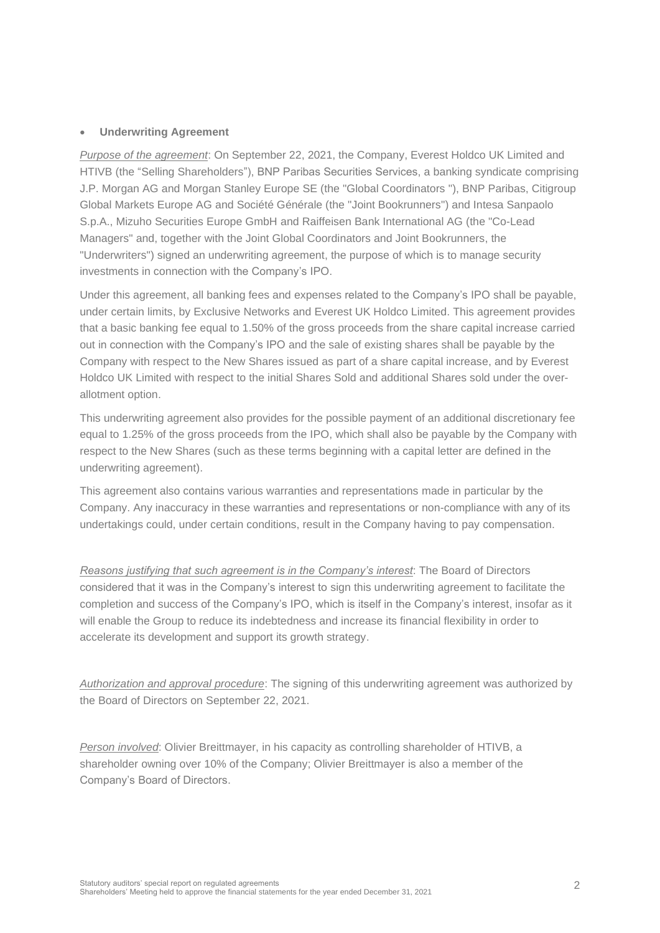#### • **Underwriting Agreement**

*Purpose of the agreement*: On September 22, 2021, the Company, Everest Holdco UK Limited and HTIVB (the "Selling Shareholders"), BNP Paribas Securities Services, a banking syndicate comprising J.P. Morgan AG and Morgan Stanley Europe SE (the "Global Coordinators "), BNP Paribas, Citigroup Global Markets Europe AG and Société Générale (the "Joint Bookrunners") and Intesa Sanpaolo S.p.A., Mizuho Securities Europe GmbH and Raiffeisen Bank International AG (the "Co-Lead Managers" and, together with the Joint Global Coordinators and Joint Bookrunners, the "Underwriters") signed an underwriting agreement, the purpose of which is to manage security investments in connection with the Company's IPO.

Under this agreement, all banking fees and expenses related to the Company's IPO shall be payable, under certain limits, by Exclusive Networks and Everest UK Holdco Limited. This agreement provides that a basic banking fee equal to 1.50% of the gross proceeds from the share capital increase carried out in connection with the Company's IPO and the sale of existing shares shall be payable by the Company with respect to the New Shares issued as part of a share capital increase, and by Everest Holdco UK Limited with respect to the initial Shares Sold and additional Shares sold under the overallotment option.

This underwriting agreement also provides for the possible payment of an additional discretionary fee equal to 1.25% of the gross proceeds from the IPO, which shall also be payable by the Company with respect to the New Shares (such as these terms beginning with a capital letter are defined in the underwriting agreement).

This agreement also contains various warranties and representations made in particular by the Company. Any inaccuracy in these warranties and representations or non-compliance with any of its undertakings could, under certain conditions, result in the Company having to pay compensation.

*Reasons justifying that such agreement is in the Company's interest*: The Board of Directors considered that it was in the Company's interest to sign this underwriting agreement to facilitate the completion and success of the Company's IPO, which is itself in the Company's interest, insofar as it will enable the Group to reduce its indebtedness and increase its financial flexibility in order to accelerate its development and support its growth strategy.

*Authorization and approval procedure*: The signing of this underwriting agreement was authorized by the Board of Directors on September 22, 2021.

*Person involved*: Olivier Breittmayer, in his capacity as controlling shareholder of HTIVB, a shareholder owning over 10% of the Company; Olivier Breittmayer is also a member of the Company's Board of Directors.